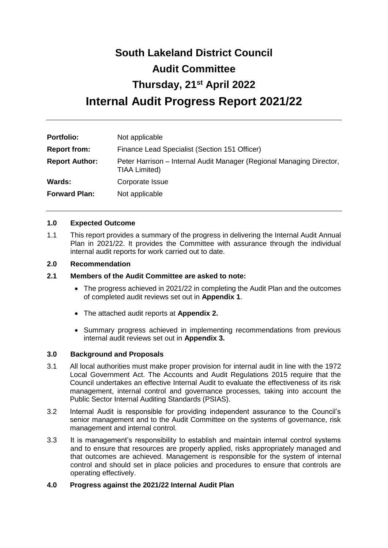# **South Lakeland District Council Audit Committee Thursday, 21st April 2022 Internal Audit Progress Report 2021/22**

| <b>Portfolio:</b>     | Not applicable                                                                        |
|-----------------------|---------------------------------------------------------------------------------------|
| <b>Report from:</b>   | Finance Lead Specialist (Section 151 Officer)                                         |
| <b>Report Author:</b> | Peter Harrison – Internal Audit Manager (Regional Managing Director,<br>TIAA Limited) |
| Wards:                | Corporate Issue                                                                       |
| <b>Forward Plan:</b>  | Not applicable                                                                        |

## **1.0 Expected Outcome**

1.1 This report provides a summary of the progress in delivering the Internal Audit Annual Plan in 2021/22. It provides the Committee with assurance through the individual internal audit reports for work carried out to date.

## **2.0 Recommendation**

- **2.1 Members of the Audit Committee are asked to note:**
	- The progress achieved in 2021/22 in completing the Audit Plan and the outcomes of completed audit reviews set out in **Appendix 1**.
	- The attached audit reports at **Appendix 2.**
	- Summary progress achieved in implementing recommendations from previous internal audit reviews set out in **Appendix 3.**

## **3.0 Background and Proposals**

- 3.1 All local authorities must make proper provision for internal audit in line with the 1972 Local Government Act. The Accounts and Audit Regulations 2015 require that the Council undertakes an effective Internal Audit to evaluate the effectiveness of its risk management, internal control and governance processes, taking into account the Public Sector Internal Auditing Standards (PSIAS).
- 3.2 Internal Audit is responsible for providing independent assurance to the Council's senior management and to the Audit Committee on the systems of governance, risk management and internal control.
- 3.3 It is management's responsibility to establish and maintain internal control systems and to ensure that resources are properly applied, risks appropriately managed and that outcomes are achieved. Management is responsible for the system of internal control and should set in place policies and procedures to ensure that controls are operating effectively.

# **4.0 Progress against the 2021/22 Internal Audit Plan**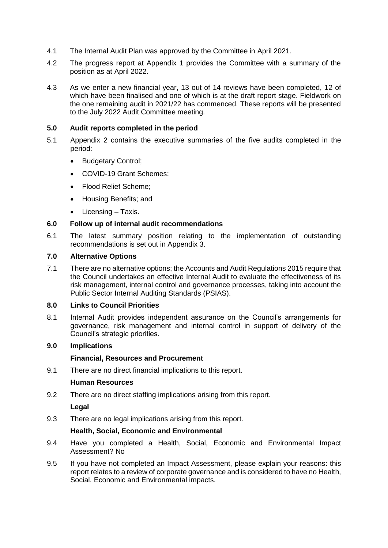- 4.1 The Internal Audit Plan was approved by the Committee in April 2021.
- 4.2 The progress report at Appendix 1 provides the Committee with a summary of the position as at April 2022.
- 4.3 As we enter a new financial year, 13 out of 14 reviews have been completed, 12 of which have been finalised and one of which is at the draft report stage. Fieldwork on the one remaining audit in 2021/22 has commenced. These reports will be presented to the July 2022 Audit Committee meeting.

## **5.0 Audit reports completed in the period**

- 5.1 Appendix 2 contains the executive summaries of the five audits completed in the period:
	- Budgetary Control;
	- COVID-19 Grant Schemes:
	- Flood Relief Scheme:
	- Housing Benefits; and
	- Licensing Taxis.

## **6.0 Follow up of internal audit recommendations**

6.1 The latest summary position relating to the implementation of outstanding recommendations is set out in Appendix 3.

## **7.0 Alternative Options**

7.1 There are no alternative options; the Accounts and Audit Regulations 2015 require that the Council undertakes an effective Internal Audit to evaluate the effectiveness of its risk management, internal control and governance processes, taking into account the Public Sector Internal Auditing Standards (PSIAS).

## **8.0 Links to Council Priorities**

8.1 Internal Audit provides independent assurance on the Council's arrangements for governance, risk management and internal control in support of delivery of the Council's strategic priorities.

# **9.0 Implications**

## **Financial, Resources and Procurement**

9.1 There are no direct financial implications to this report.

# **Human Resources**

9.2 There are no direct staffing implications arising from this report.

## **Legal**

9.3 There are no legal implications arising from this report.

## **Health, Social, Economic and Environmental**

- 9.4 Have you completed a Health, Social, Economic and Environmental Impact Assessment? No
- 9.5 If you have not completed an Impact Assessment, please explain your reasons: this report relates to a review of corporate governance and is considered to have no Health, Social, Economic and Environmental impacts.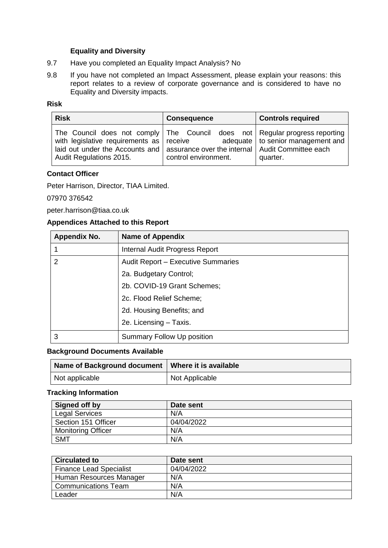# **Equality and Diversity**

- 9.7 Have you completed an Equality Impact Analysis? No
- 9.8 If you have not completed an Impact Assessment, please explain your reasons: this report relates to a review of corporate governance and is considered to have no Equality and Diversity impacts.

# **Risk**

| <b>Risk</b>                                                                                                                                                                                                                                | <b>Consequence</b>   | <b>Controls required</b>                        |
|--------------------------------------------------------------------------------------------------------------------------------------------------------------------------------------------------------------------------------------------|----------------------|-------------------------------------------------|
| The Council does not comply The Council does not Regular progress reporting<br>with legislative requirements as receive<br>laid out under the Accounts and   assurance over the internal   Audit Committee each<br>Audit Regulations 2015. | control environment. | adequate   to senior management and<br>quarter. |

# **Contact Officer**

Peter Harrison, Director, TIAA Limited.

## 07970 376542

peter.harrison@tiaa.co.uk

# **Appendices Attached to this Report**

| <b>Appendix No.</b> | <b>Name of Appendix</b>            |
|---------------------|------------------------------------|
|                     | Internal Audit Progress Report     |
| 2                   | Audit Report - Executive Summaries |
|                     | 2a. Budgetary Control;             |
|                     | 2b. COVID-19 Grant Schemes;        |
|                     | 2c. Flood Relief Scheme;           |
|                     | 2d. Housing Benefits; and          |
|                     | 2e. Licensing - Taxis.             |
| 3                   | Summary Follow Up position         |

## **Background Documents Available**

| Name of Background document   Where it is available |                |
|-----------------------------------------------------|----------------|
| Not applicable                                      | Not Applicable |

# **Tracking Information**

| Signed off by             | Date sent  |
|---------------------------|------------|
| <b>Legal Services</b>     | N/A        |
| Section 151 Officer       | 04/04/2022 |
| <b>Monitoring Officer</b> | N/A        |
| <b>SMT</b>                | N/A        |

| <b>Circulated to</b>           | Date sent  |
|--------------------------------|------------|
| <b>Finance Lead Specialist</b> | 04/04/2022 |
| Human Resources Manager        | N/A        |
| <b>Communications Team</b>     | N/A        |
| Leader                         | N/A        |